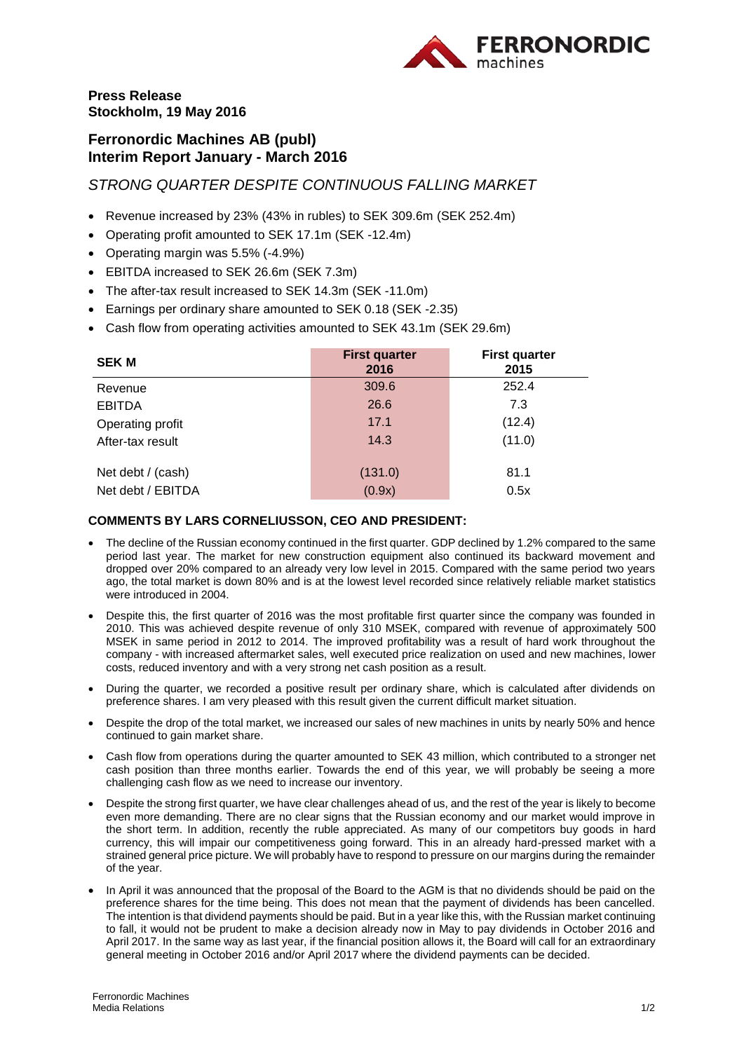

## **Press Release Stockholm, 19 May 2016**

# **Ferronordic Machines AB (publ) Interim Report January - March 2016**

*STRONG QUARTER DESPITE CONTINUOUS FALLING MARKET* 

- Revenue increased by 23% (43% in rubles) to SEK 309.6m (SEK 252.4m)
- Operating profit amounted to SEK 17.1m (SEK -12.4m)
- Operating margin was 5.5% (-4.9%)
- EBITDA increased to SEK 26.6m (SEK 7.3m)
- The after-tax result increased to SEK 14.3m (SEK -11.0m)
- Earnings per ordinary share amounted to SEK 0.18 (SEK -2.35)
- Cash flow from operating activities amounted to SEK 43.1m (SEK 29.6m)

| <b>SEK M</b>      | <b>First quarter</b><br>2016 | <b>First quarter</b><br>2015 |
|-------------------|------------------------------|------------------------------|
| Revenue           | 309.6                        | 252.4                        |
| <b>EBITDA</b>     | 26.6                         | 7.3                          |
| Operating profit  | 17.1                         | (12.4)                       |
| After-tax result  | 14.3                         | (11.0)                       |
| Net debt / (cash) | (131.0)                      | 81.1                         |
| Net debt / EBITDA | (0.9x)                       | 0.5x                         |

## **COMMENTS BY LARS CORNELIUSSON, CEO AND PRESIDENT:**

- The decline of the Russian economy continued in the first quarter. GDP declined by 1.2% compared to the same period last year. The market for new construction equipment also continued its backward movement and dropped over 20% compared to an already very low level in 2015. Compared with the same period two years ago, the total market is down 80% and is at the lowest level recorded since relatively reliable market statistics were introduced in 2004.
- Despite this, the first quarter of 2016 was the most profitable first quarter since the company was founded in 2010. This was achieved despite revenue of only 310 MSEK, compared with revenue of approximately 500 MSEK in same period in 2012 to 2014. The improved profitability was a result of hard work throughout the company - with increased aftermarket sales, well executed price realization on used and new machines, lower costs, reduced inventory and with a very strong net cash position as a result.
- During the quarter, we recorded a positive result per ordinary share, which is calculated after dividends on preference shares. I am very pleased with this result given the current difficult market situation.
- Despite the drop of the total market, we increased our sales of new machines in units by nearly 50% and hence continued to gain market share.
- Cash flow from operations during the quarter amounted to SEK 43 million, which contributed to a stronger net cash position than three months earlier. Towards the end of this year, we will probably be seeing a more challenging cash flow as we need to increase our inventory.
- Despite the strong first quarter, we have clear challenges ahead of us, and the rest of the year is likely to become even more demanding. There are no clear signs that the Russian economy and our market would improve in the short term. In addition, recently the ruble appreciated. As many of our competitors buy goods in hard currency, this will impair our competitiveness going forward. This in an already hard-pressed market with a strained general price picture. We will probably have to respond to pressure on our margins during the remainder of the year.
- In April it was announced that the proposal of the Board to the AGM is that no dividends should be paid on the preference shares for the time being. This does not mean that the payment of dividends has been cancelled. The intention is that dividend payments should be paid. But in a year like this, with the Russian market continuing to fall, it would not be prudent to make a decision already now in May to pay dividends in October 2016 and April 2017. In the same way as last year, if the financial position allows it, the Board will call for an extraordinary general meeting in October 2016 and/or April 2017 where the dividend payments can be decided.